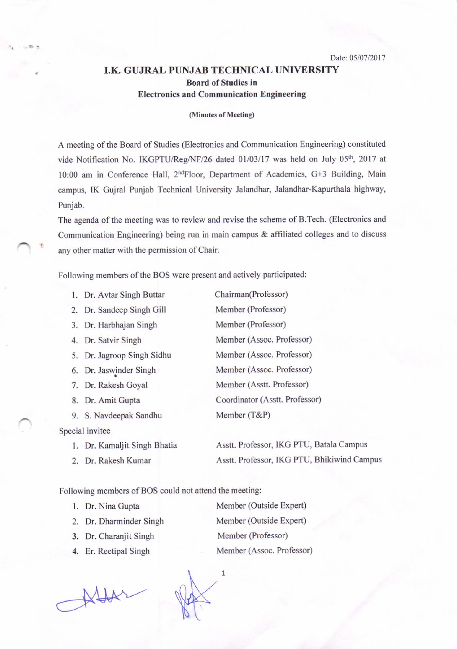Date: 05/07/2017

## , I.K GUJRAL PUNJAB TECHNICAL UNIVERSITY Board of Studies in Electronics and Communication Engineering

(Minutes of Meeting)

A meeting of the Board of Studies (Electronics and Communication Engineering) constituted vide Notification No. IKGPTU/Reg/NF/26 dated 01/03/17 was held on July 05<sup>th</sup>, 2017 at 10:00 am in Conference Hall, 2<sup>nd</sup>Floor, Department of Academics, G+3 Building, Main campus, IK Gujral Punjab Technical University Jalandhar, Jalandhar-Kapurthala highway, Punjab,

The agenda of the meeting was to review and revise the scheme of B.Tech. (Electronics and Communication Engineering) being run in main campus & affiliated colleges and to discuss any other matter with the permission of Chair.

Following members of the BOS were present and actively participated:

| 1. Dr. Avtar Singh Buttar  | Chairman(Professor)            |
|----------------------------|--------------------------------|
| 2. Dr. Sandeep Singh Gill  | Member (Professor)             |
| 3. Dr. Harbhajan Singh     | Member (Professor)             |
| 4. Dr. Satvir Singh        | Member (Assoc. Professor)      |
| 5. Dr. Jagroop Singh Sidhu | Member (Assoc. Professor)      |
| 6. Dr. Jaswinder Singh     | Member (Assoc. Professor)      |
| 7. Dr. Rakesh Goyal        | Member (Asstt. Professor)      |
| 8. Dr. Amit Gupta          | Coordinator (Asstt. Professor) |
| 9. S. Navdeepak Sandhu     | Member (T&P)                   |
| Special invitee            |                                |

 $\bigcap$  t

1. Dr. Kamaljit Singh Bhatia Asstt. Professor, IKG PTU, Batala Campus 2. Dr. Rakesh Kumar Asstt. Professor, IKG PTU, Bhikiwind Campus

Following members of BOS could not attend the meeting:

- 
- 

 $\overrightarrow{M}$ 

 $\mathcal{L}$  $\mathcal{V}$ 

 $\mathbf{1}$ 

1. Dr. Nina Gupta Member (Outside Expert) 2, Dr. Dharminder Singh Member (Outside Expert) 3. Dr. Charanjit Singh Member (Professor) 4. Er. Reetipal Singh Member (Assoc. Professor)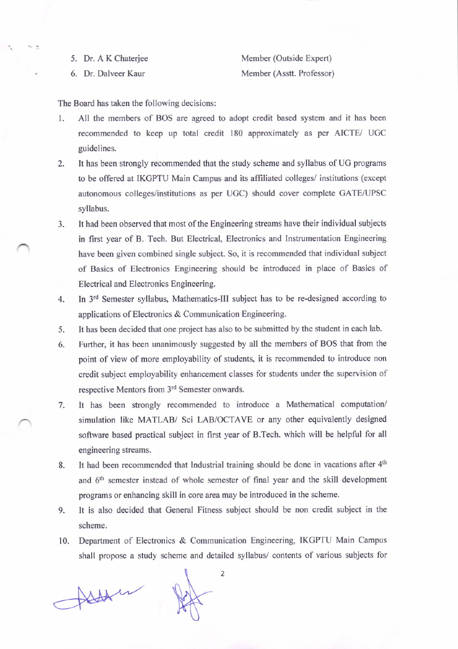5. Dr. A K Chaterjee

Member (Outside Expert) Member (Asstt. Professor)

6. Dr. Dalveer Kaur

The Board has taken the following decisions:

- 1. All the members of BOS are agreed to adopt credit based system and it has been recommended to keep up total credit I80 approximately as per AICTE/ UGC guidelines.
- 2. It has been strongly recommended that the study scheme and syllabus of UC programs to be offered at IKGPTU Main Campus and its affiliated colleges/ institutions (except autonomous colleges/institutions as per UGC) should cover complete GATE/UPSC syllabus.
- 3. It had been observed that most of the Engineering streams have their individual subjects in first year of B. Tech. But Electrical, Electronics and Instrumentation Engineering have been given combined single subject. So, it is recommended that individual subject of Basics of Electronics Engineering should be introduced in place of Basics of Electrical and Electronics Engineering.
- 4. In 3<sup>rd</sup> Semester syllabus, Mathematics-III subject has to be re-designed according to applications of Electronics & Communication Engineering.
- 5. It has been decided that one project has also to be submitted by the student in each lab.
- 6. Further, it has been unanimously suggested by all the members of BOS that from the point of view of more employability of students, it is recommended to introduce non credit subject employability enhancement classes for students under the supervision of respective Mentors from 3<sup>rd</sup> Semester onwards.
- It has been strongly recommended to introduce a Mathematical computation/ simulation like MATLAB/ Sci LAB/OCTAVE or any other equivalently designed software based practical subject in first year of B.Tech. which will be helpful for all engineering streams. 7.
- It had been recommended that Industrial training should be done in vacations after  $4<sup>th</sup>$ and 6<sup>th</sup> semester instead of whole semester of final year and the skill development programs or enhancing skill in core area may be introduced in the scheme. 8.
- It is also decided that Geneml Fitness subject should be non credit subject in the scheme. 9.
- Department of Electronics & Communication Engineering, IKGPTU Main Campus shall propose a study scheme and detailed syllabus/ contents of various subjects for t0.

Alta in

 $\overline{2}$